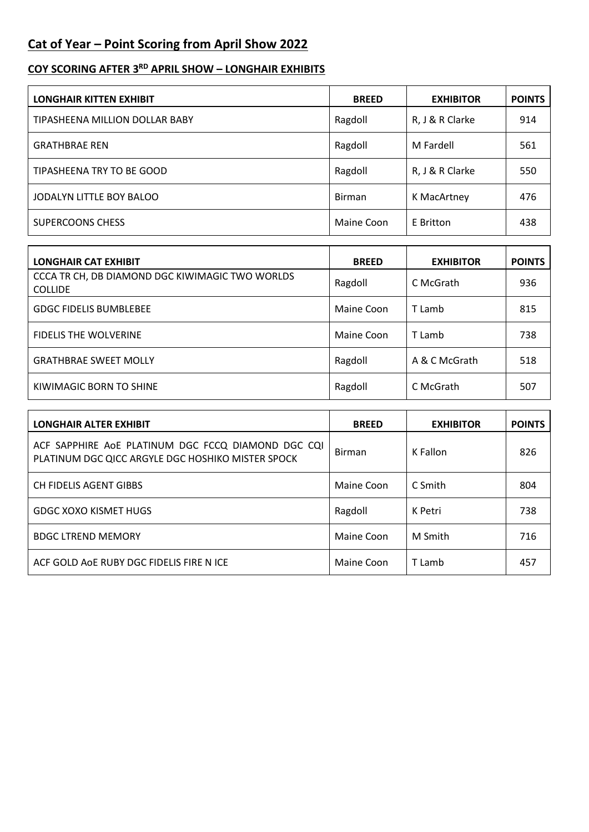## **Cat of Year – Point Scoring from April Show 2022**

## **COY SCORING AFTER 3 RD APRIL SHOW – LONGHAIR EXHIBITS**

| <b>LONGHAIR KITTEN EXHIBIT</b> | <b>BREED</b>  | <b>EXHIBITOR</b> | <b>POINTS</b> |
|--------------------------------|---------------|------------------|---------------|
| TIPASHEENA MILLION DOLLAR BABY | Ragdoll       | R, J & R Clarke  | 914           |
| <b>GRATHBRAE REN</b>           | Ragdoll       | M Fardell        | 561           |
| TIPASHEENA TRY TO BE GOOD      | Ragdoll       | R, J & R Clarke  | 550           |
| JODALYN LITTLE BOY BALOO       | <b>Birman</b> | K MacArtney      | 476           |
| <b>SUPERCOONS CHESS</b>        | Maine Coon    | E Britton        | 438           |

| <b>LONGHAIR CAT EXHIBIT</b>                                       | <b>BREED</b> | <b>EXHIBITOR</b> | <b>POINTS</b> |
|-------------------------------------------------------------------|--------------|------------------|---------------|
| CCCA TR CH, DB DIAMOND DGC KIWIMAGIC TWO WORLDS<br><b>COLLIDE</b> | Ragdoll      | C McGrath        | 936           |
| <b>GDGC FIDELIS BUMBLEBEE</b>                                     | Maine Coon   | T Lamb           | 815           |
| <b>FIDELIS THE WOLVERINE</b>                                      | Maine Coon   | T Lamb           | 738           |
| <b>GRATHBRAE SWEET MOLLY</b>                                      | Ragdoll      | A & C McGrath    | 518           |
| KIWIMAGIC BORN TO SHINE                                           | Ragdoll      | C McGrath        | 507           |

| <b>LONGHAIR ALTER EXHIBIT</b>                                                                           | <b>BREED</b>  | <b>EXHIBITOR</b> | <b>POINTS</b> |
|---------------------------------------------------------------------------------------------------------|---------------|------------------|---------------|
| ACF SAPPHIRE AOE PLATINUM DGC FCCQ DIAMOND DGC CQI<br>PLATINUM DGC QICC ARGYLE DGC HOSHIKO MISTER SPOCK | <b>Birman</b> | K Fallon         | 826           |
| CH FIDELIS AGENT GIBBS                                                                                  | Maine Coon    | C Smith          | 804           |
| GDGC XOXO KISMET HUGS                                                                                   | Ragdoll       | K Petri          | 738           |
| <b>BDGC LTREND MEMORY</b>                                                                               | Maine Coon    | M Smith          | 716           |
| ACF GOLD AOE RUBY DGC FIDELIS FIRE N ICE                                                                | Maine Coon    | T Lamb           | 457           |